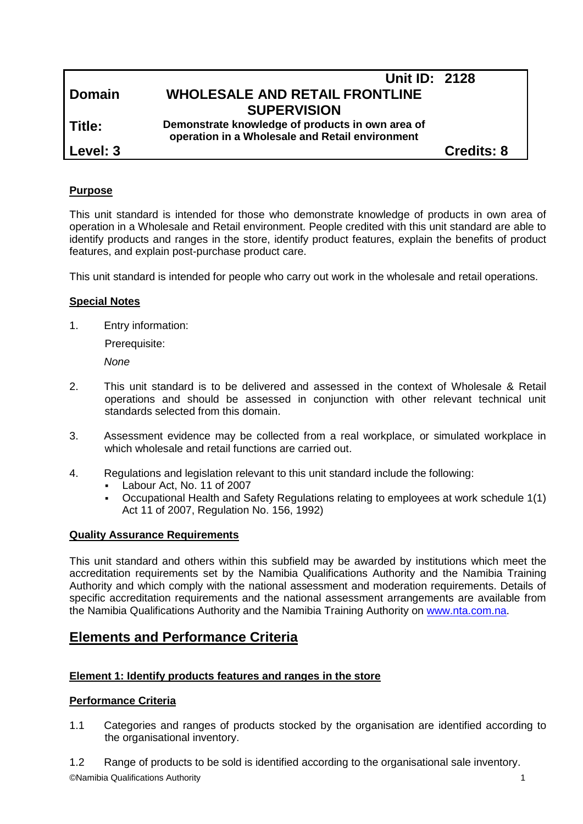|               | Unit ID: 2128                                                                                       |                   |
|---------------|-----------------------------------------------------------------------------------------------------|-------------------|
| <b>Domain</b> | <b>WHOLESALE AND RETAIL FRONTLINE</b>                                                               |                   |
|               | <b>SUPERVISION</b>                                                                                  |                   |
| Title:        | Demonstrate knowledge of products in own area of<br>operation in a Wholesale and Retail environment |                   |
| Level: 3      |                                                                                                     | <b>Credits: 8</b> |

# **Purpose**

This unit standard is intended for those who demonstrate knowledge of products in own area of operation in a Wholesale and Retail environment. People credited with this unit standard are able to identify products and ranges in the store, identify product features, explain the benefits of product features, and explain post-purchase product care.

This unit standard is intended for people who carry out work in the wholesale and retail operations.

## **Special Notes**

1. Entry information:

Prerequisite:

*None*

- 2. This unit standard is to be delivered and assessed in the context of Wholesale & Retail operations and should be assessed in conjunction with other relevant technical unit standards selected from this domain.
- 3. Assessment evidence may be collected from a real workplace, or simulated workplace in which wholesale and retail functions are carried out.
- 4. Regulations and legislation relevant to this unit standard include the following:
	- Labour Act, No. 11 of 2007
	- Occupational Health and Safety Regulations relating to employees at work schedule 1(1) Act 11 of 2007, Regulation No. 156, 1992)

# **Quality Assurance Requirements**

This unit standard and others within this subfield may be awarded by institutions which meet the accreditation requirements set by the Namibia Qualifications Authority and the Namibia Training Authority and which comply with the national assessment and moderation requirements. Details of specific accreditation requirements and the national assessment arrangements are available from the Namibia Qualifications Authority and the Namibia Training Authority on [www.nta.com.na.](http://www.nta.com.na/)

# **Elements and Performance Criteria**

# **Element 1: Identify products features and ranges in the store**

# **Performance Criteria**

1.1 Categories and ranges of products stocked by the organisation are identified according to the organisational inventory.

©Namibia Qualifications Authority 1 1.2 Range of products to be sold is identified according to the organisational sale inventory.